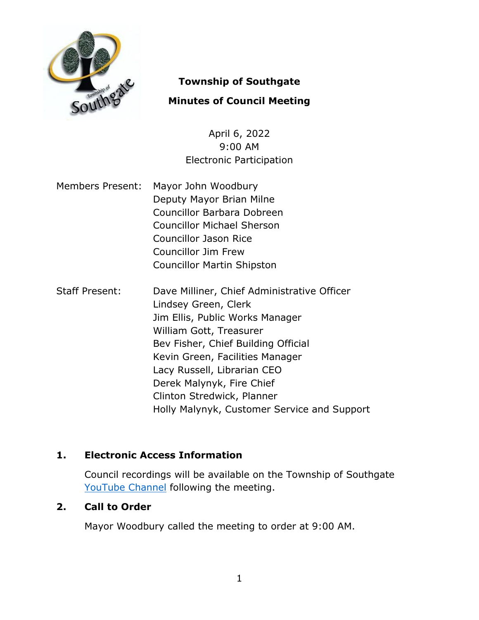

# **Township of Southgate**

# **Minutes of Council Meeting**

April 6, 2022 9:00 AM Electronic Participation

- Members Present: Mayor John Woodbury Deputy Mayor Brian Milne Councillor Barbara Dobreen Councillor Michael Sherson Councillor Jason Rice Councillor Jim Frew Councillor Martin Shipston
- Staff Present: Dave Milliner, Chief Administrative Officer Lindsey Green, Clerk Jim Ellis, Public Works Manager William Gott, Treasurer Bev Fisher, Chief Building Official Kevin Green, Facilities Manager Lacy Russell, Librarian CEO Derek Malynyk, Fire Chief Clinton Stredwick, Planner Holly Malynyk, Customer Service and Support

# **1. Electronic Access Information**

Council recordings will be available on the Township of Southgate [YouTube Channel](https://www.youtube.com/user/SouthgateTownship) following the meeting.

## **2. Call to Order**

Mayor Woodbury called the meeting to order at 9:00 AM.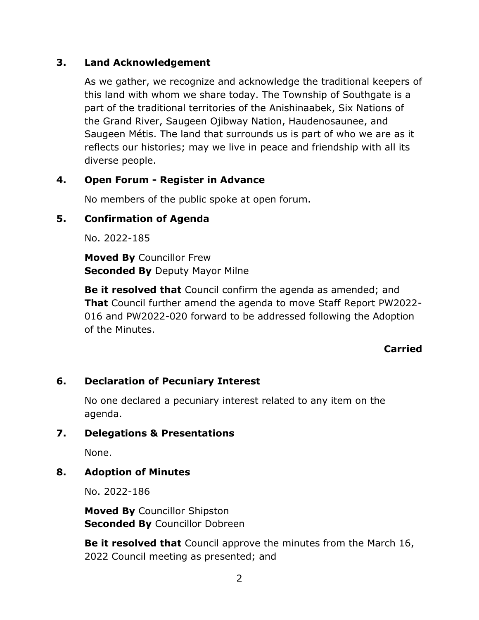### **3. Land Acknowledgement**

As we gather, we recognize and acknowledge the traditional keepers of this land with whom we share today. The Township of Southgate is a part of the traditional territories of the Anishinaabek, Six Nations of the Grand River, Saugeen Ojibway Nation, Haudenosaunee, and Saugeen Métis. The land that surrounds us is part of who we are as it reflects our histories; may we live in peace and friendship with all its diverse people.

# **4. Open Forum - Register in Advance**

No members of the public spoke at open forum.

## **5. Confirmation of Agenda**

No. 2022-185

**Moved By** Councillor Frew **Seconded By** Deputy Mayor Milne

**Be it resolved that** Council confirm the agenda as amended; and **That** Council further amend the agenda to move Staff Report PW2022- 016 and PW2022-020 forward to be addressed following the Adoption of the Minutes.

## **Carried**

## **6. Declaration of Pecuniary Interest**

No one declared a pecuniary interest related to any item on the agenda.

### **7. Delegations & Presentations**

None.

## **8. Adoption of Minutes**

No. 2022-186

**Moved By** Councillor Shipston **Seconded By** Councillor Dobreen

**Be it resolved that** Council approve the minutes from the March 16, 2022 Council meeting as presented; and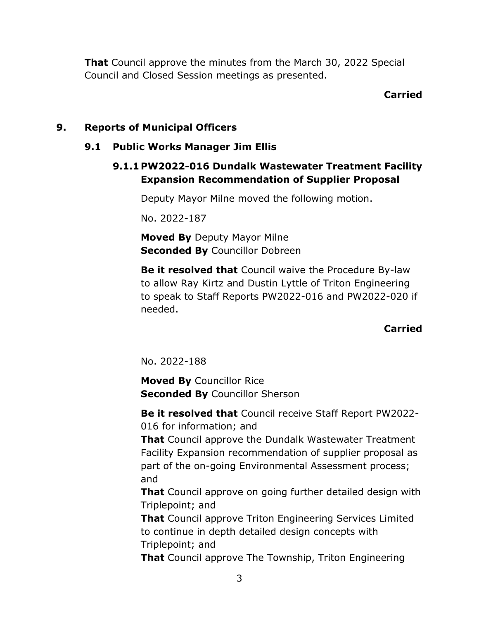**That** Council approve the minutes from the March 30, 2022 Special Council and Closed Session meetings as presented.

## **Carried**

# **9. Reports of Municipal Officers**

## **9.1 Public Works Manager Jim Ellis**

# **9.1.1 PW2022-016 Dundalk Wastewater Treatment Facility Expansion Recommendation of Supplier Proposal**

Deputy Mayor Milne moved the following motion.

No. 2022-187

**Moved By** Deputy Mayor Milne **Seconded By Councillor Dobreen** 

**Be it resolved that** Council waive the Procedure By-law to allow Ray Kirtz and Dustin Lyttle of Triton Engineering to speak to Staff Reports PW2022-016 and PW2022-020 if needed.

## **Carried**

No. 2022-188

**Moved By** Councillor Rice **Seconded By** Councillor Sherson

**Be it resolved that** Council receive Staff Report PW2022- 016 for information; and

**That** Council approve the Dundalk Wastewater Treatment Facility Expansion recommendation of supplier proposal as part of the on-going Environmental Assessment process; and

**That** Council approve on going further detailed design with Triplepoint; and

**That** Council approve Triton Engineering Services Limited to continue in depth detailed design concepts with Triplepoint; and

**That** Council approve The Township, Triton Engineering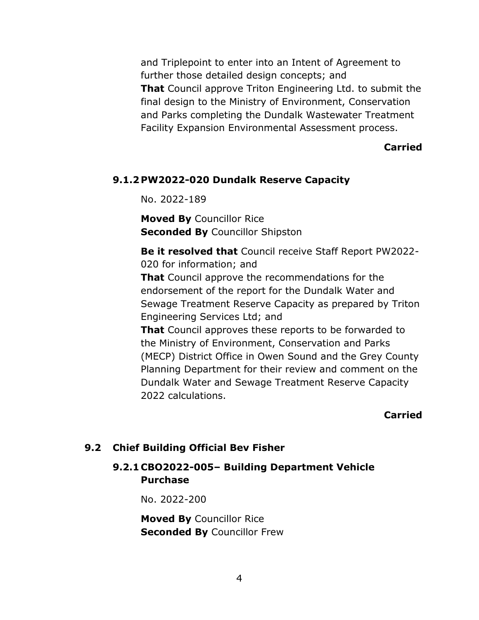and Triplepoint to enter into an Intent of Agreement to further those detailed design concepts; and **That** Council approve Triton Engineering Ltd. to submit the final design to the Ministry of Environment, Conservation and Parks completing the Dundalk Wastewater Treatment Facility Expansion Environmental Assessment process.

#### **Carried**

#### **9.1.2 PW2022-020 Dundalk Reserve Capacity**

No. 2022-189

**Moved By** Councillor Rice **Seconded By** Councillor Shipston

**Be it resolved that** Council receive Staff Report PW2022- 020 for information; and

**That** Council approve the recommendations for the endorsement of the report for the Dundalk Water and Sewage Treatment Reserve Capacity as prepared by Triton Engineering Services Ltd; and

**That** Council approves these reports to be forwarded to the Ministry of Environment, Conservation and Parks (MECP) District Office in Owen Sound and the Grey County Planning Department for their review and comment on the Dundalk Water and Sewage Treatment Reserve Capacity 2022 calculations.

#### **Carried**

### **9.2 Chief Building Official Bev Fisher**

# **9.2.1 CBO2022-005– Building Department Vehicle Purchase**

No. 2022-200

**Moved By** Councillor Rice **Seconded By** Councillor Frew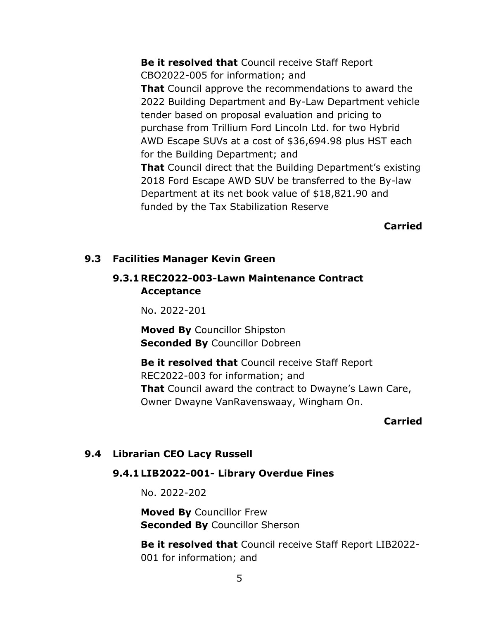**Be it resolved that** Council receive Staff Report CBO2022-005 for information; and **That** Council approve the recommendations to award the 2022 Building Department and By-Law Department vehicle tender based on proposal evaluation and pricing to purchase from Trillium Ford Lincoln Ltd. for two Hybrid AWD Escape SUVs at a cost of \$36,694.98 plus HST each for the Building Department; and **That** Council direct that the Building Department's existing 2018 Ford Escape AWD SUV be transferred to the By-law Department at its net book value of \$18,821.90 and funded by the Tax Stabilization Reserve

**Carried**

#### **9.3 Facilities Manager Kevin Green**

### **9.3.1REC2022-003-Lawn Maintenance Contract Acceptance**

No. 2022-201

**Moved By** Councillor Shipston **Seconded By** Councillor Dobreen

**Be it resolved that** Council receive Staff Report REC2022-003 for information; and **That** Council award the contract to Dwayne's Lawn Care, Owner Dwayne VanRavenswaay, Wingham On.

#### **Carried**

### **9.4 Librarian CEO Lacy Russell**

### **9.4.1 LIB2022-001- Library Overdue Fines**

No. 2022-202

**Moved By** Councillor Frew **Seconded By** Councillor Sherson

**Be it resolved that** Council receive Staff Report LIB2022- 001 for information; and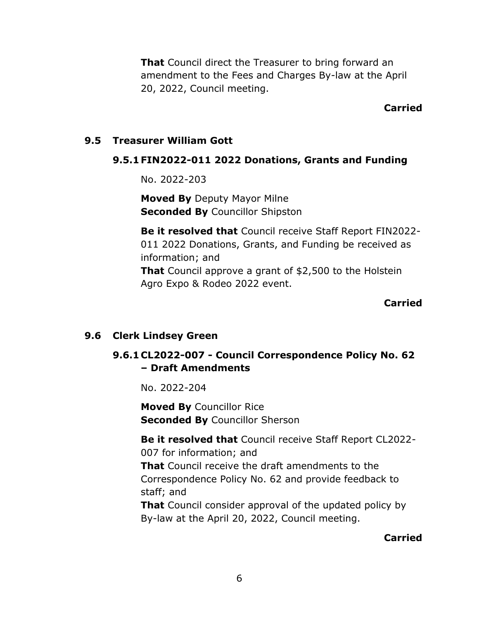**That** Council direct the Treasurer to bring forward an amendment to the Fees and Charges By-law at the April 20, 2022, Council meeting.

#### **Carried**

#### **9.5 Treasurer William Gott**

### **9.5.1 FIN2022-011 2022 Donations, Grants and Funding**

No. 2022-203

**Moved By** Deputy Mayor Milne **Seconded By** Councillor Shipston

**Be it resolved that** Council receive Staff Report FIN2022- 011 2022 Donations, Grants, and Funding be received as information; and

**That** Council approve a grant of \$2,500 to the Holstein Agro Expo & Rodeo 2022 event.

#### **Carried**

### **9.6 Clerk Lindsey Green**

# **9.6.1 CL2022-007 - Council Correspondence Policy No. 62 – Draft Amendments**

No. 2022-204

**Moved By** Councillor Rice **Seconded By** Councillor Sherson

**Be it resolved that** Council receive Staff Report CL2022- 007 for information; and **That** Council receive the draft amendments to the

Correspondence Policy No. 62 and provide feedback to staff; and

**That** Council consider approval of the updated policy by By-law at the April 20, 2022, Council meeting.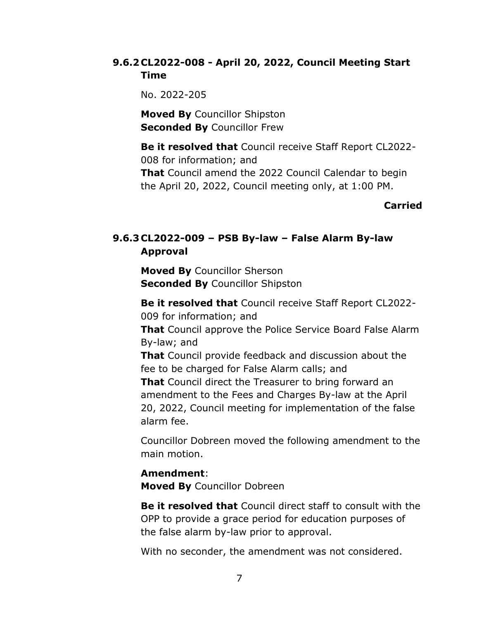### **9.6.2 CL2022-008 - April 20, 2022, Council Meeting Start Time**

No. 2022-205

**Moved By** Councillor Shipston **Seconded By** Councillor Frew

**Be it resolved that** Council receive Staff Report CL2022- 008 for information; and

**That** Council amend the 2022 Council Calendar to begin the April 20, 2022, Council meeting only, at 1:00 PM.

### **Carried**

# **9.6.3 CL2022-009 – PSB By-law – False Alarm By-law Approval**

**Moved By** Councillor Sherson **Seconded By** Councillor Shipston

**Be it resolved that** Council receive Staff Report CL2022- 009 for information; and

**That** Council approve the Police Service Board False Alarm By-law; and

**That** Council provide feedback and discussion about the fee to be charged for False Alarm calls; and

**That** Council direct the Treasurer to bring forward an amendment to the Fees and Charges By-law at the April 20, 2022, Council meeting for implementation of the false alarm fee.

Councillor Dobreen moved the following amendment to the main motion.

### **Amendment**:

**Moved By** Councillor Dobreen

**Be it resolved that** Council direct staff to consult with the OPP to provide a grace period for education purposes of the false alarm by-law prior to approval.

With no seconder, the amendment was not considered.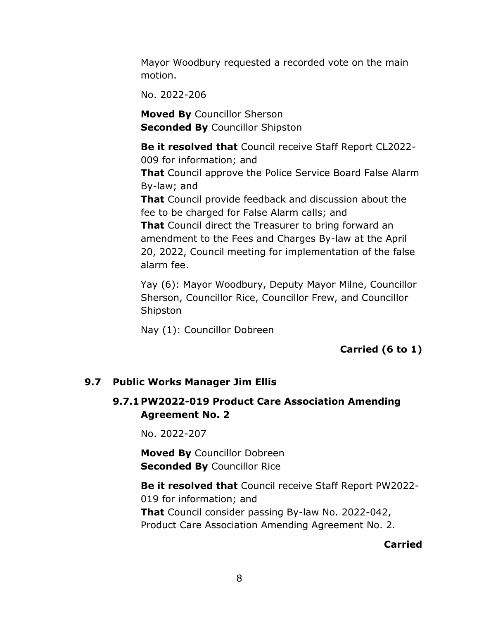Mayor Woodbury requested a recorded vote on the main motion.

No. 2022-206

**Moved By** Councillor Sherson **Seconded By** Councillor Shipston

**Be it resolved that** Council receive Staff Report CL2022- 009 for information; and

**That** Council approve the Police Service Board False Alarm By-law; and

**That** Council provide feedback and discussion about the fee to be charged for False Alarm calls; and

**That** Council direct the Treasurer to bring forward an amendment to the Fees and Charges By-law at the April 20, 2022, Council meeting for implementation of the false alarm fee.

Yay (6): Mayor Woodbury, Deputy Mayor Milne, Councillor Sherson, Councillor Rice, Councillor Frew, and Councillor Shipston

Nay (1): Councillor Dobreen

**Carried (6 to 1)**

## **9.7 Public Works Manager Jim Ellis**

# **9.7.1 PW2022-019 Product Care Association Amending Agreement No. 2**

No. 2022-207

**Moved By** Councillor Dobreen **Seconded By** Councillor Rice

**Be it resolved that** Council receive Staff Report PW2022- 019 for information; and **That** Council consider passing By-law No. 2022-042, Product Care Association Amending Agreement No. 2.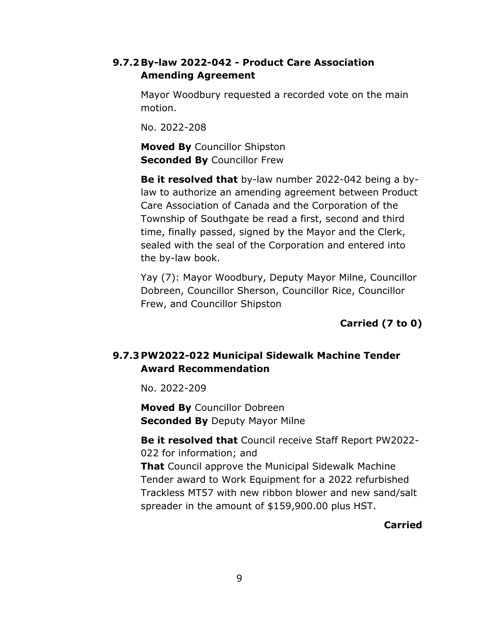## **9.7.2By-law 2022-042 - Product Care Association Amending Agreement**

Mayor Woodbury requested a recorded vote on the main motion.

No. 2022-208

**Moved By** Councillor Shipston **Seconded By** Councillor Frew

**Be it resolved that** by-law number 2022-042 being a bylaw to authorize an amending agreement between Product Care Association of Canada and the Corporation of the Township of Southgate be read a first, second and third time, finally passed, signed by the Mayor and the Clerk, sealed with the seal of the Corporation and entered into the by-law book.

Yay (7): Mayor Woodbury, Deputy Mayor Milne, Councillor Dobreen, Councillor Sherson, Councillor Rice, Councillor Frew, and Councillor Shipston

**Carried (7 to 0)**

# **9.7.3 PW2022-022 Municipal Sidewalk Machine Tender Award Recommendation**

No. 2022-209

**Moved By** Councillor Dobreen **Seconded By** Deputy Mayor Milne

**Be it resolved that** Council receive Staff Report PW2022- 022 for information; and **That** Council approve the Municipal Sidewalk Machine Tender award to Work Equipment for a 2022 refurbished Trackless MT57 with new ribbon blower and new sand/salt spreader in the amount of \$159,900.00 plus HST.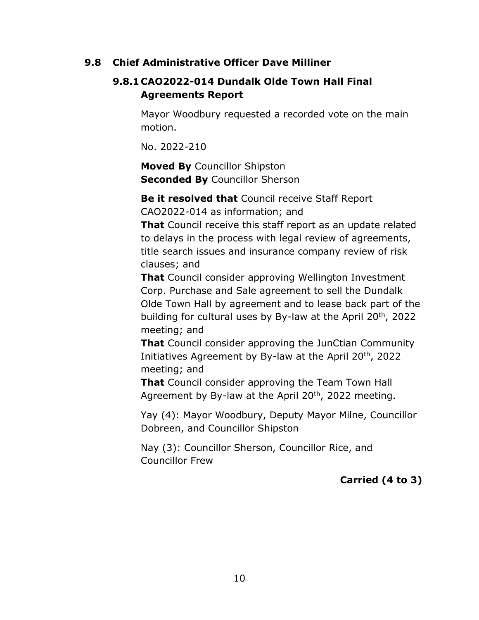### **9.8 Chief Administrative Officer Dave Milliner**

## **9.8.1 CAO2022-014 Dundalk Olde Town Hall Final Agreements Report**

Mayor Woodbury requested a recorded vote on the main motion.

No. 2022-210

**Moved By** Councillor Shipston **Seconded By** Councillor Sherson

**Be it resolved that** Council receive Staff Report CAO2022-014 as information; and

**That** Council receive this staff report as an update related to delays in the process with legal review of agreements, title search issues and insurance company review of risk clauses; and

**That** Council consider approving Wellington Investment Corp. Purchase and Sale agreement to sell the Dundalk Olde Town Hall by agreement and to lease back part of the building for cultural uses by By-law at the April 20<sup>th</sup>, 2022 meeting; and

**That** Council consider approving the JunCtian Community Initiatives Agreement by By-law at the April 20th, 2022 meeting; and

**That** Council consider approving the Team Town Hall Agreement by By-law at the April  $20<sup>th</sup>$ , 2022 meeting.

Yay (4): Mayor Woodbury, Deputy Mayor Milne, Councillor Dobreen, and Councillor Shipston

Nay (3): Councillor Sherson, Councillor Rice, and Councillor Frew

# **Carried (4 to 3)**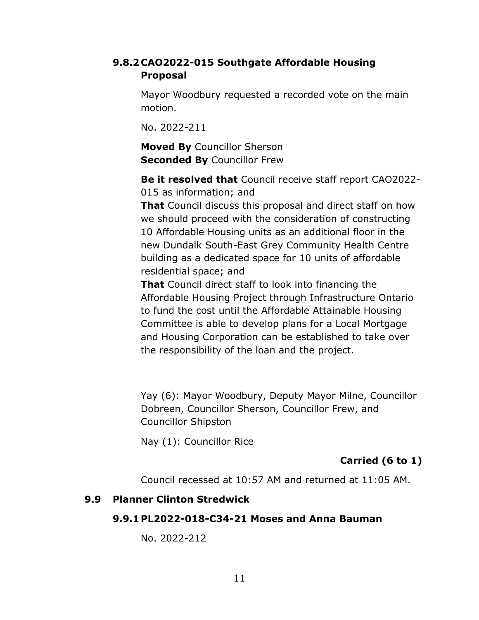### **9.8.2 CAO2022-015 Southgate Affordable Housing Proposal**

Mayor Woodbury requested a recorded vote on the main motion.

No. 2022-211

**Moved By** Councillor Sherson **Seconded By** Councillor Frew

**Be it resolved that** Council receive staff report CAO2022- 015 as information; and

**That** Council discuss this proposal and direct staff on how we should proceed with the consideration of constructing 10 Affordable Housing units as an additional floor in the new Dundalk South-East Grey Community Health Centre building as a dedicated space for 10 units of affordable residential space; and

**That** Council direct staff to look into financing the Affordable Housing Project through Infrastructure Ontario to fund the cost until the Affordable Attainable Housing Committee is able to develop plans for a Local Mortgage and Housing Corporation can be established to take over the responsibility of the loan and the project.

Yay (6): Mayor Woodbury, Deputy Mayor Milne, Councillor Dobreen, Councillor Sherson, Councillor Frew, and Councillor Shipston

Nay (1): Councillor Rice

## **Carried (6 to 1)**

Council recessed at 10:57 AM and returned at 11:05 AM.

### **9.9 Planner Clinton Stredwick**

#### **9.9.1 PL2022-018-C34-21 Moses and Anna Bauman**

No. 2022-212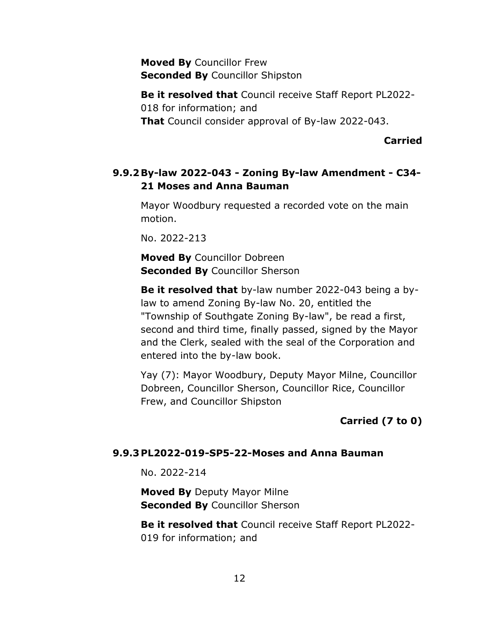**Moved By** Councillor Frew **Seconded By** Councillor Shipston

**Be it resolved that** Council receive Staff Report PL2022- 018 for information; and **That** Council consider approval of By-law 2022-043.

**Carried**

## **9.9.2By-law 2022-043 - Zoning By-law Amendment - C34- 21 Moses and Anna Bauman**

Mayor Woodbury requested a recorded vote on the main motion.

No. 2022-213

**Moved By** Councillor Dobreen **Seconded By** Councillor Sherson

**Be it resolved that** by-law number 2022-043 being a bylaw to amend Zoning By-law No. 20, entitled the "Township of Southgate Zoning By-law", be read a first, second and third time, finally passed, signed by the Mayor and the Clerk, sealed with the seal of the Corporation and entered into the by-law book.

Yay (7): Mayor Woodbury, Deputy Mayor Milne, Councillor Dobreen, Councillor Sherson, Councillor Rice, Councillor Frew, and Councillor Shipston

**Carried (7 to 0)**

### **9.9.3 PL2022-019-SP5-22-Moses and Anna Bauman**

No. 2022-214

**Moved By** Deputy Mayor Milne **Seconded By Councillor Sherson** 

**Be it resolved that** Council receive Staff Report PL2022- 019 for information; and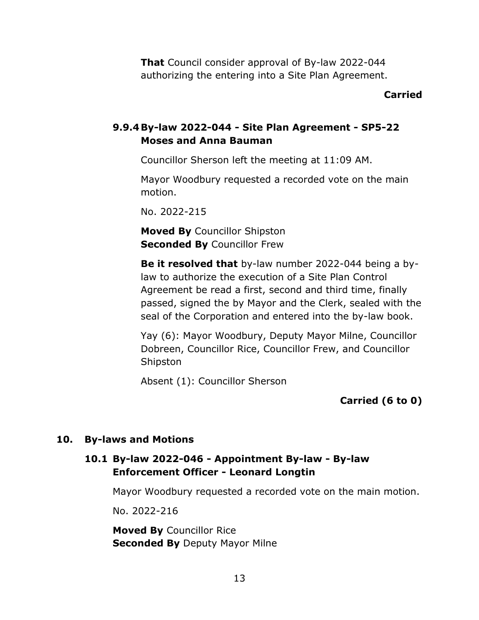**That** Council consider approval of By-law 2022-044 authorizing the entering into a Site Plan Agreement.

#### **Carried**

### **9.9.4By-law 2022-044 - Site Plan Agreement - SP5-22 Moses and Anna Bauman**

Councillor Sherson left the meeting at 11:09 AM.

Mayor Woodbury requested a recorded vote on the main motion.

No. 2022-215

**Moved By** Councillor Shipston **Seconded By** Councillor Frew

**Be it resolved that** by-law number 2022-044 being a bylaw to authorize the execution of a Site Plan Control Agreement be read a first, second and third time, finally passed, signed the by Mayor and the Clerk, sealed with the seal of the Corporation and entered into the by-law book.

Yay (6): Mayor Woodbury, Deputy Mayor Milne, Councillor Dobreen, Councillor Rice, Councillor Frew, and Councillor Shipston

Absent (1): Councillor Sherson

**Carried (6 to 0)**

#### **10. By-laws and Motions**

## **10.1 By-law 2022-046 - Appointment By-law - By-law Enforcement Officer - Leonard Longtin**

Mayor Woodbury requested a recorded vote on the main motion.

No. 2022-216

**Moved By** Councillor Rice **Seconded By** Deputy Mayor Milne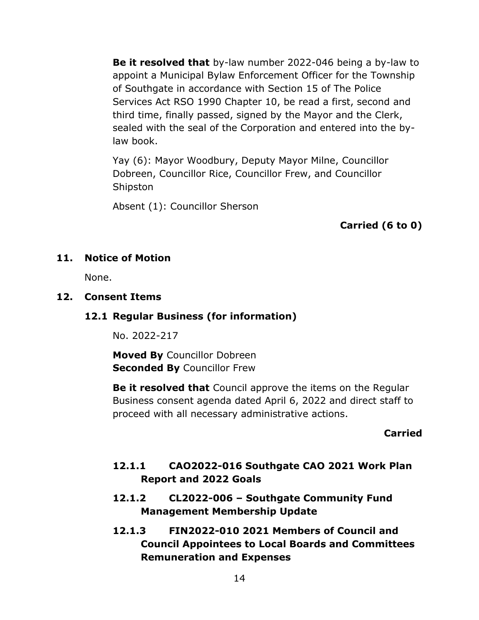**Be it resolved that** by-law number 2022-046 being a by-law to appoint a Municipal Bylaw Enforcement Officer for the Township of Southgate in accordance with Section 15 of The Police Services Act RSO 1990 Chapter 10, be read a first, second and third time, finally passed, signed by the Mayor and the Clerk, sealed with the seal of the Corporation and entered into the bylaw book.

Yay (6): Mayor Woodbury, Deputy Mayor Milne, Councillor Dobreen, Councillor Rice, Councillor Frew, and Councillor Shipston

Absent (1): Councillor Sherson

**Carried (6 to 0)**

## **11. Notice of Motion**

None.

### **12. Consent Items**

## **12.1 Regular Business (for information)**

No. 2022-217

**Moved By** Councillor Dobreen **Seconded By** Councillor Frew

**Be it resolved that** Council approve the items on the Regular Business consent agenda dated April 6, 2022 and direct staff to proceed with all necessary administrative actions.

### **Carried**

# **12.1.1 CAO2022-016 Southgate CAO 2021 Work Plan Report and 2022 Goals**

- **12.1.2 CL2022-006 – Southgate Community Fund Management Membership Update**
- **12.1.3 FIN2022-010 2021 Members of Council and Council Appointees to Local Boards and Committees Remuneration and Expenses**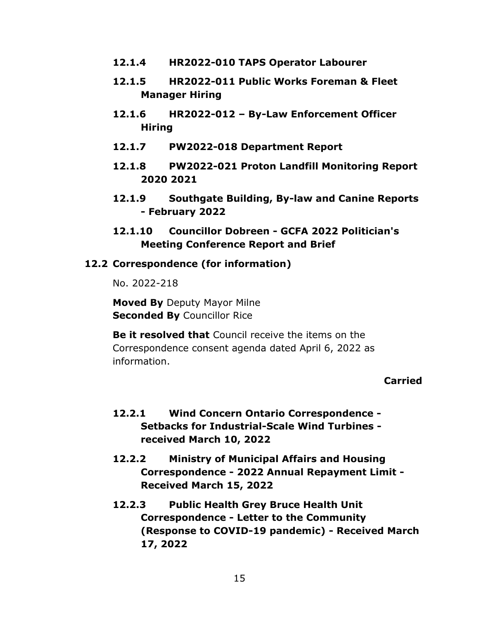- **12.1.4 HR2022-010 TAPS Operator Labourer**
- **12.1.5 HR2022-011 Public Works Foreman & Fleet Manager Hiring**
- **12.1.6 HR2022-012 – By-Law Enforcement Officer Hiring**
- **12.1.7 PW2022-018 Department Report**
- **12.1.8 PW2022-021 Proton Landfill Monitoring Report 2020 2021**
- **12.1.9 Southgate Building, By-law and Canine Reports - February 2022**
- **12.1.10 Councillor Dobreen - GCFA 2022 Politician's Meeting Conference Report and Brief**

#### **12.2 Correspondence (for information)**

No. 2022-218

**Moved By** Deputy Mayor Milne **Seconded By** Councillor Rice

**Be it resolved that** Council receive the items on the Correspondence consent agenda dated April 6, 2022 as information.

- **12.2.1 Wind Concern Ontario Correspondence - Setbacks for Industrial-Scale Wind Turbines received March 10, 2022**
- **12.2.2 Ministry of Municipal Affairs and Housing Correspondence - 2022 Annual Repayment Limit - Received March 15, 2022**
- **12.2.3 Public Health Grey Bruce Health Unit Correspondence - Letter to the Community (Response to COVID-19 pandemic) - Received March 17, 2022**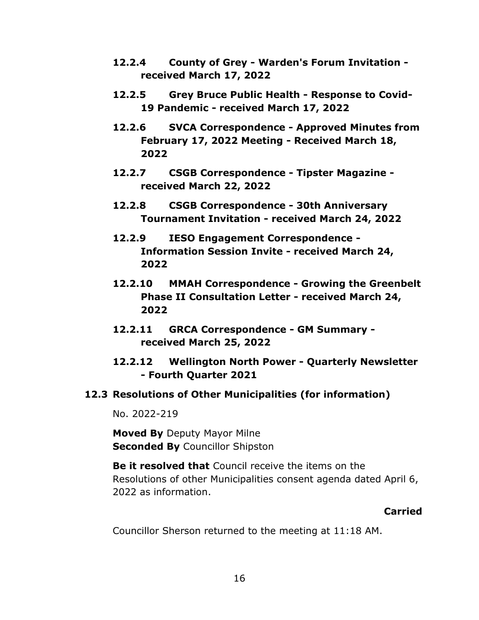- **12.2.4 County of Grey - Warden's Forum Invitation received March 17, 2022**
- **12.2.5 Grey Bruce Public Health - Response to Covid-19 Pandemic - received March 17, 2022**
- **12.2.6 SVCA Correspondence - Approved Minutes from February 17, 2022 Meeting - Received March 18, 2022**
- **12.2.7 CSGB Correspondence - Tipster Magazine received March 22, 2022**
- **12.2.8 CSGB Correspondence - 30th Anniversary Tournament Invitation - received March 24, 2022**
- **12.2.9 IESO Engagement Correspondence - Information Session Invite - received March 24, 2022**
- **12.2.10 MMAH Correspondence - Growing the Greenbelt Phase II Consultation Letter - received March 24, 2022**
- **12.2.11 GRCA Correspondence - GM Summary received March 25, 2022**
- **12.2.12 Wellington North Power - Quarterly Newsletter - Fourth Quarter 2021**
- **12.3 Resolutions of Other Municipalities (for information)**

No. 2022-219

**Moved By** Deputy Mayor Milne **Seconded By** Councillor Shipston

**Be it resolved that** Council receive the items on the Resolutions of other Municipalities consent agenda dated April 6, 2022 as information.

#### **Carried**

Councillor Sherson returned to the meeting at 11:18 AM.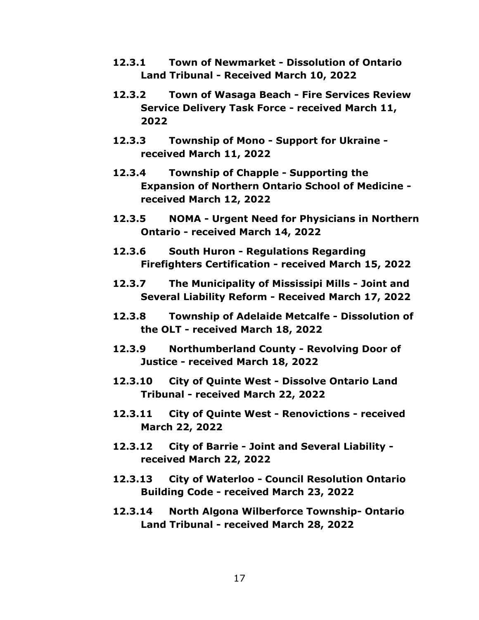- **12.3.1 Town of Newmarket - Dissolution of Ontario Land Tribunal - Received March 10, 2022**
- **12.3.2 Town of Wasaga Beach - Fire Services Review Service Delivery Task Force - received March 11, 2022**
- **12.3.3 Township of Mono - Support for Ukraine received March 11, 2022**
- **12.3.4 Township of Chapple - Supporting the Expansion of Northern Ontario School of Medicine received March 12, 2022**
- **12.3.5 NOMA - Urgent Need for Physicians in Northern Ontario - received March 14, 2022**
- **12.3.6 South Huron - Regulations Regarding Firefighters Certification - received March 15, 2022**
- **12.3.7 The Municipality of Mississipi Mills - Joint and Several Liability Reform - Received March 17, 2022**
- **12.3.8 Township of Adelaide Metcalfe - Dissolution of the OLT - received March 18, 2022**
- **12.3.9 Northumberland County - Revolving Door of Justice - received March 18, 2022**
- **12.3.10 City of Quinte West - Dissolve Ontario Land Tribunal - received March 22, 2022**
- **12.3.11 City of Quinte West - Renovictions - received March 22, 2022**
- **12.3.12 City of Barrie - Joint and Several Liability received March 22, 2022**
- **12.3.13 City of Waterloo - Council Resolution Ontario Building Code - received March 23, 2022**
- **12.3.14 North Algona Wilberforce Township- Ontario Land Tribunal - received March 28, 2022**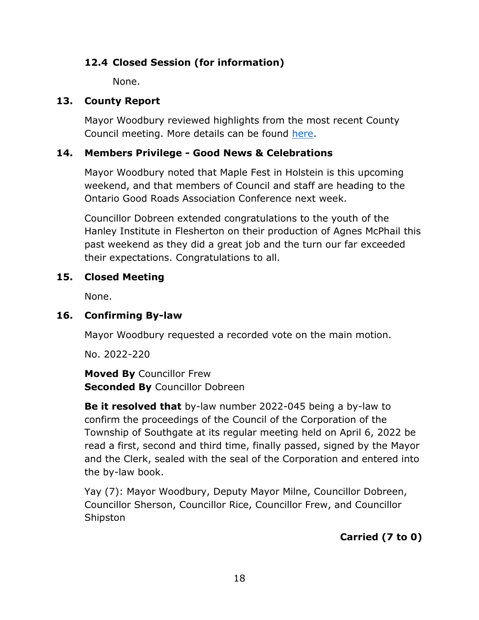# **12.4 Closed Session (for information)**

None.

# **13. County Report**

Mayor Woodbury reviewed highlights from the most recent County Council meeting. More details can be found [here.](https://www.grey.ca/council)

# **14. Members Privilege - Good News & Celebrations**

Mayor Woodbury noted that Maple Fest in Holstein is this upcoming weekend, and that members of Council and staff are heading to the Ontario Good Roads Association Conference next week.

Councillor Dobreen extended congratulations to the youth of the Hanley Institute in Flesherton on their production of Agnes McPhail this past weekend as they did a great job and the turn our far exceeded their expectations. Congratulations to all.

# **15. Closed Meeting**

None.

# **16. Confirming By-law**

Mayor Woodbury requested a recorded vote on the main motion.

No. 2022-220

**Moved By** Councillor Frew **Seconded By** Councillor Dobreen

**Be it resolved that** by-law number 2022-045 being a by-law to confirm the proceedings of the Council of the Corporation of the Township of Southgate at its regular meeting held on April 6, 2022 be read a first, second and third time, finally passed, signed by the Mayor and the Clerk, sealed with the seal of the Corporation and entered into the by-law book.

Yay (7): Mayor Woodbury, Deputy Mayor Milne, Councillor Dobreen, Councillor Sherson, Councillor Rice, Councillor Frew, and Councillor Shipston

# **Carried (7 to 0)**